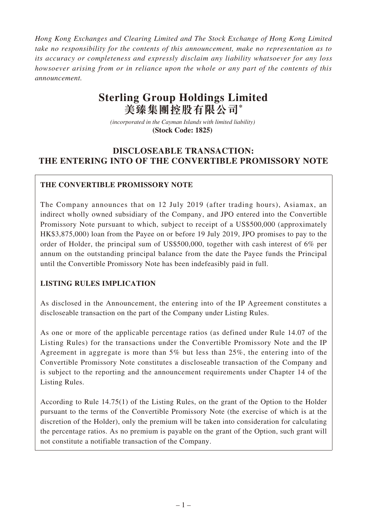*Hong Kong Exchanges and Clearing Limited and The Stock Exchange of Hong Kong Limited take no responsibility for the contents of this announcement, make no representation as to its accuracy or completeness and expressly disclaim any liability whatsoever for any loss howsoever arising from or in reliance upon the whole or any part of the contents of this announcement.*

# **Sterling Group Holdings Limited 美臻集團控股有限公司\***

*(incorporated in the Cayman Islands with limited liability)*  **(Stock Code: 1825)** 

## **DISCLOSEABLE TRANSACTION: THE ENTERING INTO OF THE CONVERTIBLE PROMISSORY NOTE**

## **THE CONVERTIBLE PROMISSORY NOTE**

The Company announces that on 12 July 2019 (after trading hours), Asiamax, an indirect wholly owned subsidiary of the Company, and JPO entered into the Convertible Promissory Note pursuant to which, subject to receipt of a US\$500,000 (approximately HK\$3,875,000) loan from the Payee on or before 19 July 2019, JPO promises to pay to the order of Holder, the principal sum of US\$500,000, together with cash interest of 6% per annum on the outstanding principal balance from the date the Payee funds the Principal until the Convertible Promissory Note has been indefeasibly paid in full.

## **LISTING RULES IMPLICATION**

As disclosed in the Announcement, the entering into of the IP Agreement constitutes a discloseable transaction on the part of the Company under Listing Rules.

As one or more of the applicable percentage ratios (as defined under Rule 14.07 of the Listing Rules) for the transactions under the Convertible Promissory Note and the IP Agreement in aggregate is more than 5% but less than 25%, the entering into of the Convertible Promissory Note constitutes a discloseable transaction of the Company and is subject to the reporting and the announcement requirements under Chapter 14 of the Listing Rules.

According to Rule 14.75(1) of the Listing Rules, on the grant of the Option to the Holder pursuant to the terms of the Convertible Promissory Note (the exercise of which is at the discretion of the Holder), only the premium will be taken into consideration for calculating the percentage ratios. As no premium is payable on the grant of the Option, such grant will not constitute a notifiable transaction of the Company.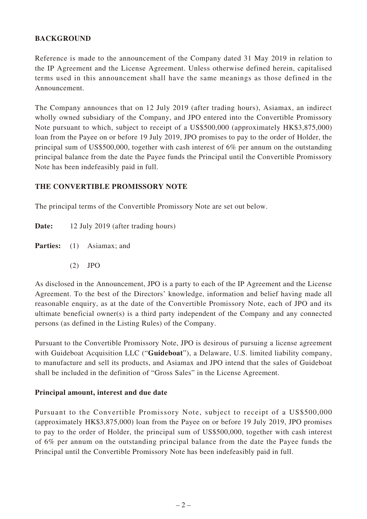## **BACKGROUND**

Reference is made to the announcement of the Company dated 31 May 2019 in relation to the IP Agreement and the License Agreement. Unless otherwise defined herein, capitalised terms used in this announcement shall have the same meanings as those defined in the Announcement.

The Company announces that on 12 July 2019 (after trading hours), Asiamax, an indirect wholly owned subsidiary of the Company, and JPO entered into the Convertible Promissory Note pursuant to which, subject to receipt of a US\$500,000 (approximately HK\$3,875,000) loan from the Payee on or before 19 July 2019, JPO promises to pay to the order of Holder, the principal sum of US\$500,000, together with cash interest of 6% per annum on the outstanding principal balance from the date the Payee funds the Principal until the Convertible Promissory Note has been indefeasibly paid in full.

#### **THE CONVERTIBLE PROMISSORY NOTE**

The principal terms of the Convertible Promissory Note are set out below.

**Date:** 12 July 2019 (after trading hours)

Parties: (1) Asiamax; and

(2) JPO

As disclosed in the Announcement, JPO is a party to each of the IP Agreement and the License Agreement. To the best of the Directors' knowledge, information and belief having made all reasonable enquiry, as at the date of the Convertible Promissory Note, each of JPO and its ultimate beneficial owner(s) is a third party independent of the Company and any connected persons (as defined in the Listing Rules) of the Company.

Pursuant to the Convertible Promissory Note, JPO is desirous of pursuing a license agreement with Guideboat Acquisition LLC ("**Guideboat**"), a Delaware, U.S. limited liability company, to manufacture and sell its products, and Asiamax and JPO intend that the sales of Guideboat shall be included in the definition of "Gross Sales" in the License Agreement.

#### **Principal amount, interest and due date**

Pursuant to the Convertible Promissory Note, subject to receipt of a US\$500,000 (approximately HK\$3,875,000) loan from the Payee on or before 19 July 2019, JPO promises to pay to the order of Holder, the principal sum of US\$500,000, together with cash interest of 6% per annum on the outstanding principal balance from the date the Payee funds the Principal until the Convertible Promissory Note has been indefeasibly paid in full.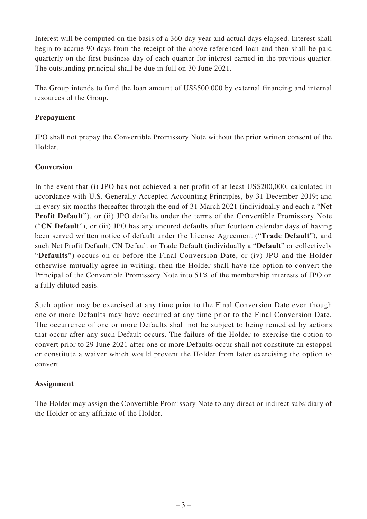Interest will be computed on the basis of a 360-day year and actual days elapsed. Interest shall begin to accrue 90 days from the receipt of the above referenced loan and then shall be paid quarterly on the first business day of each quarter for interest earned in the previous quarter. The outstanding principal shall be due in full on 30 June 2021.

The Group intends to fund the loan amount of US\$500,000 by external financing and internal resources of the Group.

## **Prepayment**

JPO shall not prepay the Convertible Promissory Note without the prior written consent of the Holder.

#### **Conversion**

In the event that (i) JPO has not achieved a net profit of at least US\$200,000, calculated in accordance with U.S. Generally Accepted Accounting Principles, by 31 December 2019; and in every six months thereafter through the end of 31 March 2021 (individually and each a "**Net Profit Default**"), or (ii) JPO defaults under the terms of the Convertible Promissory Note ("**CN Default**"), or (iii) JPO has any uncured defaults after fourteen calendar days of having been served written notice of default under the License Agreement ("**Trade Default**"), and such Net Profit Default, CN Default or Trade Default (individually a "**Default**" or collectively "**Defaults**") occurs on or before the Final Conversion Date, or (iv) JPO and the Holder otherwise mutually agree in writing, then the Holder shall have the option to convert the Principal of the Convertible Promissory Note into 51% of the membership interests of JPO on a fully diluted basis.

Such option may be exercised at any time prior to the Final Conversion Date even though one or more Defaults may have occurred at any time prior to the Final Conversion Date. The occurrence of one or more Defaults shall not be subject to being remedied by actions that occur after any such Default occurs. The failure of the Holder to exercise the option to convert prior to 29 June 2021 after one or more Defaults occur shall not constitute an estoppel or constitute a waiver which would prevent the Holder from later exercising the option to convert.

## **Assignment**

The Holder may assign the Convertible Promissory Note to any direct or indirect subsidiary of the Holder or any affiliate of the Holder.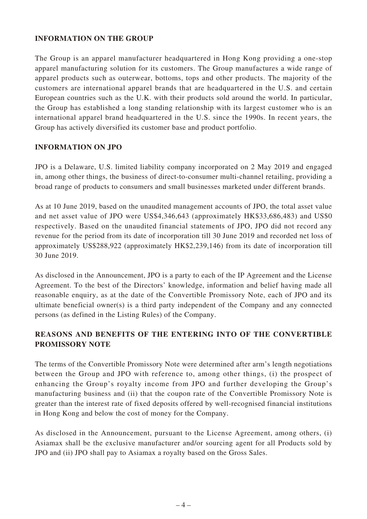#### **INFORMATION ON THE GROUP**

The Group is an apparel manufacturer headquartered in Hong Kong providing a one-stop apparel manufacturing solution for its customers. The Group manufactures a wide range of apparel products such as outerwear, bottoms, tops and other products. The majority of the customers are international apparel brands that are headquartered in the U.S. and certain European countries such as the U.K. with their products sold around the world. In particular, the Group has established a long standing relationship with its largest customer who is an international apparel brand headquartered in the U.S. since the 1990s. In recent years, the Group has actively diversified its customer base and product portfolio.

#### **INFORMATION ON JPO**

JPO is a Delaware, U.S. limited liability company incorporated on 2 May 2019 and engaged in, among other things, the business of direct-to-consumer multi-channel retailing, providing a broad range of products to consumers and small businesses marketed under different brands.

As at 10 June 2019, based on the unaudited management accounts of JPO, the total asset value and net asset value of JPO were US\$4,346,643 (approximately HK\$33,686,483) and US\$0 respectively. Based on the unaudited financial statements of JPO, JPO did not record any revenue for the period from its date of incorporation till 30 June 2019 and recorded net loss of approximately US\$288,922 (approximately HK\$2,239,146) from its date of incorporation till 30 June 2019.

As disclosed in the Announcement, JPO is a party to each of the IP Agreement and the License Agreement. To the best of the Directors' knowledge, information and belief having made all reasonable enquiry, as at the date of the Convertible Promissory Note, each of JPO and its ultimate beneficial owner(s) is a third party independent of the Company and any connected persons (as defined in the Listing Rules) of the Company.

## **REASONS AND BENEFITS OF THE ENTERING INTO OF THE CONVERTIBLE PROMISSORY NOTE**

The terms of the Convertible Promissory Note were determined after arm's length negotiations between the Group and JPO with reference to, among other things, (i) the prospect of enhancing the Group's royalty income from JPO and further developing the Group's manufacturing business and (ii) that the coupon rate of the Convertible Promissory Note is greater than the interest rate of fixed deposits offered by well-recognised financial institutions in Hong Kong and below the cost of money for the Company.

As disclosed in the Announcement, pursuant to the License Agreement, among others, (i) Asiamax shall be the exclusive manufacturer and/or sourcing agent for all Products sold by JPO and (ii) JPO shall pay to Asiamax a royalty based on the Gross Sales.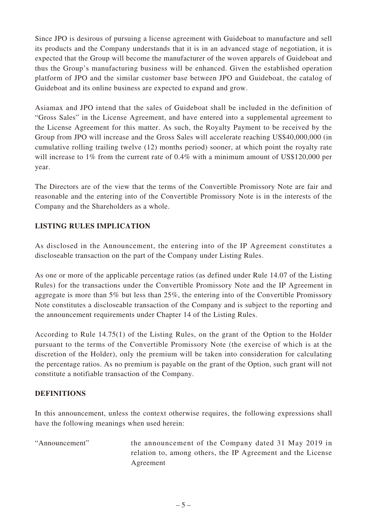Since JPO is desirous of pursuing a license agreement with Guideboat to manufacture and sell its products and the Company understands that it is in an advanced stage of negotiation, it is expected that the Group will become the manufacturer of the woven apparels of Guideboat and thus the Group's manufacturing business will be enhanced. Given the established operation platform of JPO and the similar customer base between JPO and Guideboat, the catalog of Guideboat and its online business are expected to expand and grow.

Asiamax and JPO intend that the sales of Guideboat shall be included in the definition of "Gross Sales" in the License Agreement, and have entered into a supplemental agreement to the License Agreement for this matter. As such, the Royalty Payment to be received by the Group from JPO will increase and the Gross Sales will accelerate reaching US\$40,000,000 (in cumulative rolling trailing twelve (12) months period) sooner, at which point the royalty rate will increase to 1% from the current rate of 0.4% with a minimum amount of US\$120,000 per year.

The Directors are of the view that the terms of the Convertible Promissory Note are fair and reasonable and the entering into of the Convertible Promissory Note is in the interests of the Company and the Shareholders as a whole.

## **LISTING RULES IMPLICATION**

As disclosed in the Announcement, the entering into of the IP Agreement constitutes a discloseable transaction on the part of the Company under Listing Rules.

As one or more of the applicable percentage ratios (as defined under Rule 14.07 of the Listing Rules) for the transactions under the Convertible Promissory Note and the IP Agreement in aggregate is more than 5% but less than 25%, the entering into of the Convertible Promissory Note constitutes a discloseable transaction of the Company and is subject to the reporting and the announcement requirements under Chapter 14 of the Listing Rules.

According to Rule 14.75(1) of the Listing Rules, on the grant of the Option to the Holder pursuant to the terms of the Convertible Promissory Note (the exercise of which is at the discretion of the Holder), only the premium will be taken into consideration for calculating the percentage ratios. As no premium is payable on the grant of the Option, such grant will not constitute a notifiable transaction of the Company.

#### **DEFINITIONS**

In this announcement, unless the context otherwise requires, the following expressions shall have the following meanings when used herein:

"Announcement" the announcement of the Company dated 31 May 2019 in relation to, among others, the IP Agreement and the License Agreement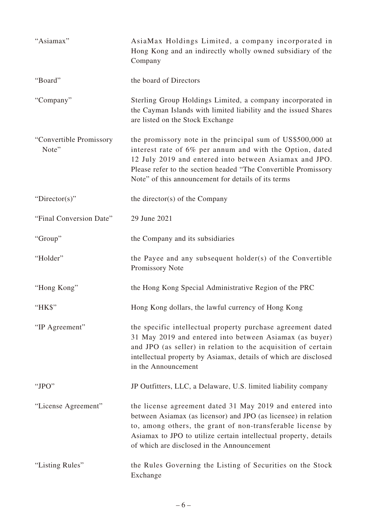| "Asiamax"                        | AsiaMax Holdings Limited, a company incorporated in<br>Hong Kong and an indirectly wholly owned subsidiary of the<br>Company                                                                                                                                                                                |
|----------------------------------|-------------------------------------------------------------------------------------------------------------------------------------------------------------------------------------------------------------------------------------------------------------------------------------------------------------|
| "Board"                          | the board of Directors                                                                                                                                                                                                                                                                                      |
| "Company"                        | Sterling Group Holdings Limited, a company incorporated in<br>the Cayman Islands with limited liability and the issued Shares<br>are listed on the Stock Exchange                                                                                                                                           |
| "Convertible Promissory<br>Note" | the promissory note in the principal sum of US\$500,000 at<br>interest rate of 6% per annum and with the Option, dated<br>12 July 2019 and entered into between Asiamax and JPO.<br>Please refer to the section headed "The Convertible Promissory<br>Note" of this announcement for details of its terms   |
| "Director(s)"                    | the director(s) of the Company                                                                                                                                                                                                                                                                              |
| "Final Conversion Date"          | 29 June 2021                                                                                                                                                                                                                                                                                                |
| "Group"                          | the Company and its subsidiaries                                                                                                                                                                                                                                                                            |
| "Holder"                         | the Payee and any subsequent holder(s) of the Convertible<br>Promissory Note                                                                                                                                                                                                                                |
| "Hong Kong"                      | the Hong Kong Special Administrative Region of the PRC                                                                                                                                                                                                                                                      |
| "HK\$"                           | Hong Kong dollars, the lawful currency of Hong Kong                                                                                                                                                                                                                                                         |
| "IP Agreement"                   | the specific intellectual property purchase agreement dated<br>31 May 2019 and entered into between Asiamax (as buyer)<br>and JPO (as seller) in relation to the acquisition of certain<br>intellectual property by Asiamax, details of which are disclosed<br>in the Announcement                          |
| " $JPO"$                         | JP Outfitters, LLC, a Delaware, U.S. limited liability company                                                                                                                                                                                                                                              |
| "License Agreement"              | the license agreement dated 31 May 2019 and entered into<br>between Asiamax (as licensor) and JPO (as licensee) in relation<br>to, among others, the grant of non-transferable license by<br>Asiamax to JPO to utilize certain intellectual property, details<br>of which are disclosed in the Announcement |
| "Listing Rules"                  | the Rules Governing the Listing of Securities on the Stock<br>Exchange                                                                                                                                                                                                                                      |